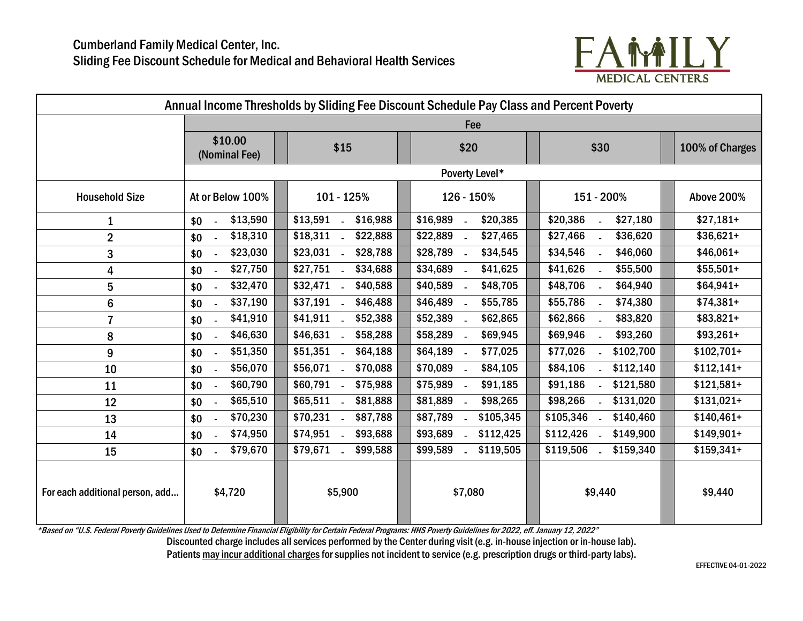

| Annual Income Thresholds by Sliding Fee Discount Schedule Pay Class and Percent Poverty |                           |                              |                                      |                                                   |                   |
|-----------------------------------------------------------------------------------------|---------------------------|------------------------------|--------------------------------------|---------------------------------------------------|-------------------|
|                                                                                         | Fee                       |                              |                                      |                                                   |                   |
|                                                                                         | \$10.00<br>(Nominal Fee)  | \$15                         | \$20                                 | \$30                                              | 100% of Charges   |
|                                                                                         |                           |                              | Poverty Level*                       |                                                   |                   |
| <b>Household Size</b>                                                                   | At or Below 100%          | 101 - 125%                   | 126 - 150%                           | 151 - 200%                                        | <b>Above 200%</b> |
| 1                                                                                       | \$13,590<br>\$0<br>$\sim$ | \$13,591 -<br>\$16,988       | \$16,989<br>\$20,385                 | \$20,386<br>\$27,180                              | $$27,181+$        |
| $\overline{2}$                                                                          | \$18,310<br>\$0<br>$\sim$ | $$18,311$ .<br>\$22,888      | \$22,889<br>\$27,465                 | \$27,466<br>\$36,620                              | $$36,621+$        |
| 3                                                                                       | \$23,030<br>\$0<br>$\sim$ | $$23,031$ -<br>\$28,788      | \$28,789<br>\$34,545<br>$\sim$       | \$34,546<br>\$46,060                              | $$46,061+$        |
| 4                                                                                       | \$27,750<br>\$0<br>$\sim$ | $$27,751$ .<br>\$34,688      | \$34,689<br>\$41,625<br>$\sim$       | \$41,626<br>\$55,500                              | $$55,501+$        |
| 5                                                                                       | \$32,470<br>\$0           | $$32,471$ .<br>\$40,588      | \$40,589<br>\$48,705<br>$\sim$       | \$48,706<br>\$64,940                              | $$64,941+$        |
| 6                                                                                       | \$37,190<br>\$0           | $$37,191$ .<br>\$46,488      | \$46,489<br>\$55,785<br>$\sim$       | \$55,786<br>\$74,380<br>$\mathbb{Z}^{\mathbb{Z}}$ | $$74,381+$        |
| $\overline{7}$                                                                          | \$41,910<br>\$0<br>$\sim$ | $$41,911$ .<br>\$52,388      | \$52,389<br>\$62,865                 | \$62,866<br>\$83,820                              | $$83,821+$        |
| 8                                                                                       | \$46,630<br>\$0           | \$46,631 -<br>\$58,288       | \$58,289<br>\$69,945<br>$\mathbf{r}$ | \$69,946<br>\$93,260                              | $$93,261+$        |
| 9                                                                                       | \$51,350<br>\$0           | \$51,351 .<br>\$64,188       | \$64,189<br>\$77,025                 | \$77,026<br>\$102,700                             | $$102,701+$       |
| 10                                                                                      | \$56,070<br>\$0           | \$56,071 .<br>\$70,088       | \$70,089<br>\$84,105                 | \$84,106<br>\$112,140                             | $$112,141+$       |
| 11                                                                                      | \$60,790<br>\$0<br>$\sim$ | $$60,791$ .<br>\$75,988      | \$75,989<br>\$91,185                 | \$91,186<br>$-$ \$121,580                         | $$121,581+$       |
| 12                                                                                      | \$65,510<br>\$0<br>$\sim$ | $$65,511$ .<br>\$81,888      | \$81,889<br>\$98,265                 | \$98,266<br>\$131,020                             | $$131,021+$       |
| 13                                                                                      | \$70,230<br>\$0           | $$70,231$ .<br>\$87,788      | \$87,789<br>\$105,345                | \$105,346<br>\$140,460                            | $$140,461+$       |
| 14                                                                                      | \$74,950<br>\$0           | $$74,951$ .<br>\$93,688      | \$112,425<br>\$93,689                | \$112,426<br>\$149,900                            | $$149,901+$       |
| 15                                                                                      | \$79,670<br>\$0<br>$\sim$ | \$79,671<br>\$99,588<br>nia. | \$99,589<br>\$119,505                | \$119,506<br>\$159,340                            | $$159,341+$       |
| For each additional person, add                                                         | \$4,720                   | \$5,900                      | \$7,080                              | \$9,440                                           | \$9,440           |

\*Based on "U.S. Federal Poverty Guidelines Used to Determine Financial Eligibility for Certain Federal Programs: HHS Poverty Guidelines for 2022, eff. January 12, 2022"

Discounted charge includes all services performed by the Center during visit (e.g. in-house injection or in-house lab).

Patients may incur additional charges for supplies not incident to service (e.g. prescription drugs or third-party labs).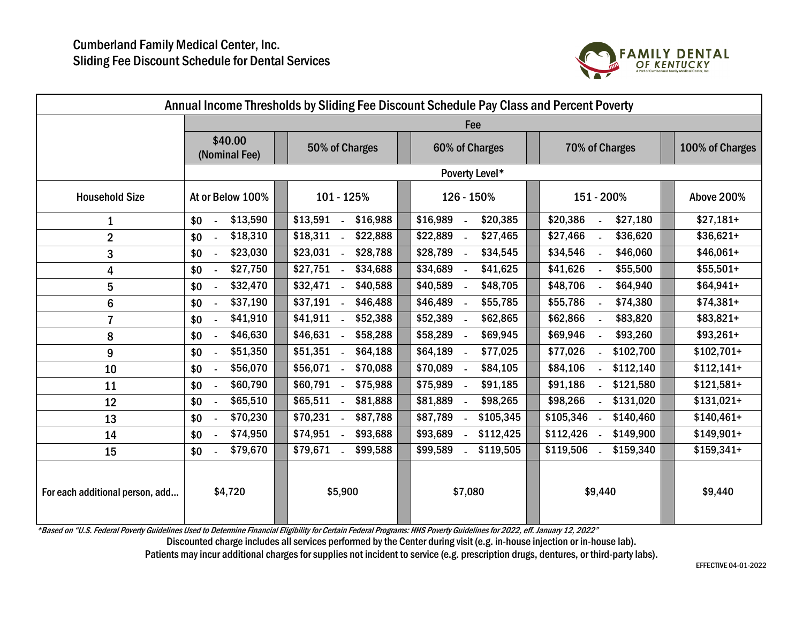

| Annual Income Thresholds by Sliding Fee Discount Schedule Pay Class and Percent Poverty |                           |                         |                                |                                                     |                 |  |
|-----------------------------------------------------------------------------------------|---------------------------|-------------------------|--------------------------------|-----------------------------------------------------|-----------------|--|
|                                                                                         | Fee                       |                         |                                |                                                     |                 |  |
|                                                                                         | \$40.00<br>(Nominal Fee)  | 50% of Charges          | 60% of Charges                 | 70% of Charges                                      | 100% of Charges |  |
|                                                                                         | Poverty Level*            |                         |                                |                                                     |                 |  |
| <b>Household Size</b>                                                                   | At or Below 100%          | 101 - 125%              | 126 - 150%                     | 151 - 200%                                          | Above 200%      |  |
| 1                                                                                       | \$13,590<br>\$0<br>$\sim$ | \$13,591 -<br>\$16,988  | \$16,989<br>\$20,385           | \$20,386<br>\$27,180                                | $$27,181+$      |  |
| $\overline{2}$                                                                          | \$18,310<br>\$0<br>$\sim$ | $$18,311$ -<br>\$22,888 | \$22,889<br>\$27,465           | \$27,466<br>\$36,620<br>$\sim$                      | $$36,621+$      |  |
| 3                                                                                       | \$23,030<br>\$0<br>$\sim$ | $$23,031$ -<br>\$28,788 | \$28,789<br>\$34,545<br>$\sim$ | \$34,546<br>\$46,060<br>$\mathcal{L}^{\mathcal{L}}$ | $$46,061+$      |  |
| 4                                                                                       | \$27,750<br>\$0<br>$\sim$ | $$27,751$ -<br>\$34,688 | \$34,689<br>\$41,625<br>$\sim$ | \$41,626<br>\$55,500<br>$\mathcal{L}^{\mathcal{L}}$ | $$55,501+$      |  |
| 5                                                                                       | \$32,470<br>\$0           | $$32,471$ -<br>\$40,588 | \$40,589<br>\$48,705           | \$48,706<br>\$64,940                                | $$64,941+$      |  |
| $6\phantom{1}$                                                                          | \$37,190<br>\$0           | $$37,191$ -<br>\$46,488 | \$46,489<br>\$55,785<br>$\sim$ | \$55,786<br>\$74,380<br>$\sim$                      | $$74,381+$      |  |
| $\overline{7}$                                                                          | \$41,910<br>\$0<br>$\sim$ | $$41,911$ .<br>\$52,388 | \$52,389<br>\$62,865           | \$83,820<br>\$62,866<br>$\mathcal{L}^{\mathcal{A}}$ | $$83,821+$      |  |
| 8                                                                                       | \$46,630<br>\$0<br>$\sim$ | $$46,631$ -<br>\$58,288 | \$58,289<br>\$69,945           | \$69,946<br>\$93,260<br>$\sim$                      | $$93,261+$      |  |
| 9                                                                                       | \$51,350<br>\$0<br>$\sim$ | $$51,351$ -<br>\$64,188 | \$77,025<br>\$64,189           | \$77,026<br>\$102,700                               | $$102,701+$     |  |
| 10                                                                                      | \$56,070<br>\$0<br>$\sim$ | \$56,071 -<br>\$70,088  | \$70,089<br>\$84,105           | \$84,106<br>\$112,140                               | $$112,141+$     |  |
| 11                                                                                      | \$60,790<br>\$0<br>$\sim$ | \$60,791 -<br>\$75,988  | \$75,989<br>\$91,185           | \$91,186<br>\$121,580                               | $$121,581+$     |  |
| 12                                                                                      | \$65,510<br>\$0<br>$\sim$ | $$65,511$ -<br>\$81,888 | \$81,889<br>\$98,265           | \$98,266<br>\$131,020                               | $$131,021+$     |  |
| 13                                                                                      | \$70,230<br>\$0           | $$70,231$ -<br>\$87,788 | \$87,789<br>\$105,345          | \$105,346<br>\$140,460                              | $$140,461+$     |  |
| 14                                                                                      | \$74,950<br>\$0<br>$\sim$ | $$74,951$ -<br>\$93,688 | \$93,689<br>\$112,425          | \$112,426<br>\$149,900                              | $$149,901+$     |  |
| 15                                                                                      | \$79,670<br>\$0           | \$79,671<br>\$99,588    | \$99,589<br>\$119,505          | \$119,506<br>\$159,340                              | $$159,341+$     |  |
| For each additional person, add                                                         | \$4,720                   | \$5,900                 | \$7,080                        | \$9,440                                             | \$9,440         |  |

\*Based on "U.S. Federal Poverty Guidelines Used to Determine Financial Eligibility for Certain Federal Programs: HHS Poverty Guidelinesfor 2022, eff. January 12, 2022"

Discounted charge includes all services performed by the Center during visit (e.g. in-house injection or in-house lab).

Patients may incur additional charges for supplies not incident to service (e.g. prescription drugs, dentures, or third-party labs).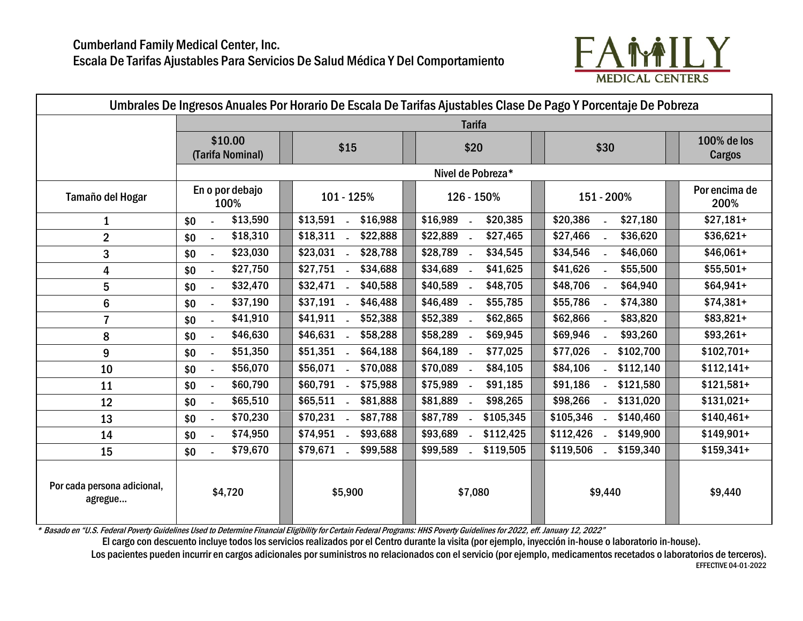

| Umbrales De Ingresos Anuales Por Horario De Escala De Tarifas Ajustables Clase De Pago Y Porcentaje De Pobreza |                                                |                         |                       |                           |                              |
|----------------------------------------------------------------------------------------------------------------|------------------------------------------------|-------------------------|-----------------------|---------------------------|------------------------------|
|                                                                                                                | <b>Tarifa</b>                                  |                         |                       |                           |                              |
|                                                                                                                | \$10.00<br>(Tarifa Nominal)                    | \$15                    | \$20                  | \$30                      | 100% de los<br><b>Cargos</b> |
|                                                                                                                |                                                |                         | Nivel de Pobreza*     |                           |                              |
| Tamaño del Hogar                                                                                               | En o por debajo<br>100%                        | 101 - 125%              | 126 - 150%            | 151 - 200%                | Por encima de<br>200%        |
| $\mathbf 1$                                                                                                    | \$13,590<br>\$0                                | \$13,591<br>\$16,988    | \$16,989<br>\$20,385  | \$20,386<br>\$27,180      | $$27,181+$                   |
| $\overline{2}$                                                                                                 | \$18,310<br>\$0                                | $$18,311$ .<br>\$22,888 | \$22,889<br>\$27,465  | \$27,466<br>\$36,620      | $$36,621+$                   |
| 3                                                                                                              | \$23,030<br>\$0<br>$\sim$                      | $$23,031$ .<br>\$28,788 | \$28,789<br>\$34,545  | \$34,546<br>\$46,060      | $$46,061+$                   |
| 4                                                                                                              | \$27,750<br>\$0<br>$\mathcal{L}_{\mathcal{A}}$ | $$27,751$ .<br>\$34,688 | \$34,689<br>\$41,625  | \$41,626<br>\$55,500      | $$55,501+$                   |
| 5                                                                                                              | \$32,470<br>\$0<br>$\sim$                      | $$32,471$ .<br>\$40,588 | \$40,589<br>\$48,705  | \$48,706<br>\$64,940      | $$64,941+$                   |
| $6\phantom{1}$                                                                                                 | \$37,190<br>\$0<br>$\sim$                      | \$37,191<br>\$46,488    | \$46,489<br>\$55,785  | \$55,786<br>\$74,380      | $$74,381+$                   |
| $\overline{7}$                                                                                                 | \$41,910<br>\$0<br>$\sim$                      | $$41,911$ .<br>\$52,388 | \$52,389<br>\$62,865  | \$62,866<br>\$83,820      | $$83,821+$                   |
| 8                                                                                                              | \$46,630<br>\$0<br>$\sim$                      | $$46,631$ -<br>\$58,288 | \$58,289<br>\$69,945  | \$69,946<br>\$93,260      | $$93,261+$                   |
| 9                                                                                                              | \$51,350<br>\$0                                | $$51,351$ .<br>\$64,188 | \$64,189<br>\$77,025  | \$77,026<br>\$102,700     | $$102,701+$                  |
| 10                                                                                                             | \$56,070<br>\$0<br>$\sim$                      | \$56,071 .<br>\$70,088  | \$70,089<br>\$84,105  | \$84,106<br>\$112,140     | $$112,141+$                  |
| 11                                                                                                             | \$60,790<br>\$0                                | $$60,791$ .<br>\$75,988 | \$75,989<br>\$91,185  | \$91,186<br>\$121,580     | $$121,581+$                  |
| 12                                                                                                             | \$65,510<br>\$0<br>$\sim$                      | $$65,511$ .<br>\$81,888 | \$81,889<br>\$98,265  | \$98,266<br>\$131,020     | $$131,021+$                  |
| 13                                                                                                             | \$70,230<br>\$0<br>$\mathcal{L}_{\mathcal{A}}$ | $$70,231$ -<br>\$87,788 | \$87,789<br>\$105,345 | $$105,346$ -<br>\$140,460 | $$140,461+$                  |
| 14                                                                                                             | \$74,950<br>\$0<br>$\sim$                      | $$74,951$ -<br>\$93,688 | \$93,689<br>\$112,425 | \$112,426<br>\$149,900    | $$149,901+$                  |
| 15                                                                                                             | \$79,670<br>\$0                                | \$79,671<br>\$99,588    | \$99,589<br>\$119,505 | \$119,506<br>\$159,340    | $$159,341+$                  |
| Por cada persona adicional,<br>agregue                                                                         | \$4,720                                        | \$5,900                 | \$7,080               | \$9,440                   | \$9,440                      |

\* Basado en "U.S. Federal Poverty Guidelines Used to Determine Financial Eligibility for Certain Federal Programs: HHS Poverty Guidelines for 2022, eff. January 12, 2022"

El cargo con descuento incluye todos los servicios realizados por el Centro durante la visita (por ejemplo, inyección in-house o laboratorio in-house).

Los pacientes pueden incurrir en cargos adicionales por suministros no relacionados con el servicio (por ejemplo, medicamentos recetados o laboratorios de terceros). EFFECTIVE 04-01-2022